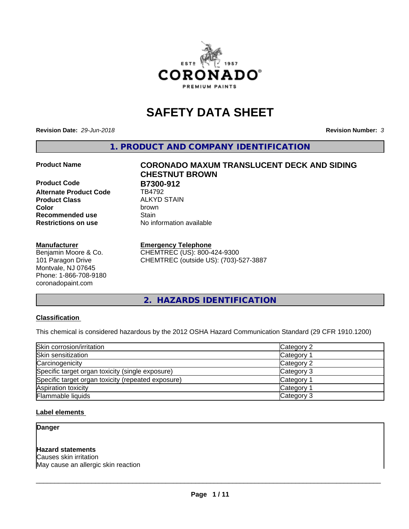

# **SAFETY DATA SHEET**

**Revision Date:** *29-Jun-2018* **Revision Number:** *3*

**1. PRODUCT AND COMPANY IDENTIFICATION**

**Product Code B7300-912**<br>Alternate Product Code **BR4792 Alternate Product Code Product Class** ALKYD STAIN<br> **Color** brown **Recommended use Stain Restrictions on use** No information available

#### **Manufacturer**

Benjamin Moore & Co. 101 Paragon Drive Montvale, NJ 07645 Phone: 1-866-708-9180 coronadopaint.com

# **Product Name CORONADO MAXUM TRANSLUCENT DECK AND SIDING CHESTNUT BROWN Color** brown

#### **Emergency Telephone**

CHEMTREC (US): 800-424-9300 CHEMTREC (outside US): (703)-527-3887

**2. HAZARDS IDENTIFICATION**

#### **Classification**

This chemical is considered hazardous by the 2012 OSHA Hazard Communication Standard (29 CFR 1910.1200)

| Skin corrosion/irritation                          | Category 2        |
|----------------------------------------------------|-------------------|
| Skin sensitization                                 | Category 1        |
| Carcinogenicity                                    | Category 2        |
| Specific target organ toxicity (single exposure)   | Category 3        |
| Specific target organ toxicity (repeated exposure) | Category 1        |
| Aspiration toxicity                                | <b>Category 1</b> |
| Flammable liquids                                  | Category 3        |

#### **Label elements**

**Danger**

#### **Hazard statements**

Causes skin irritation May cause an allergic skin reaction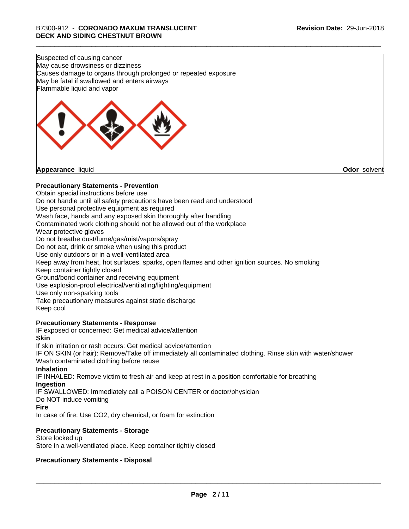Suspected of causing cancer May cause drowsiness or dizziness Causes damage to organs through prolonged or repeated exposure May be fatal if swallowed and enters airways Flammable liquid and vapor



**Appearance** liquid **Odor** solvent

#### **Precautionary Statements - Prevention**

Obtain special instructions before use Do not handle until all safety precautions have been read and understood Use personal protective equipment as required Wash face, hands and any exposed skin thoroughly after handling Contaminated work clothing should not be allowed out of the workplace Wear protective gloves Do not breathe dust/fume/gas/mist/vapors/spray Do not eat, drink or smoke when using this product Use only outdoors or in a well-ventilated area Keep away from heat, hot surfaces, sparks, open flames and other ignition sources. No smoking Keep container tightly closed Ground/bond container and receiving equipment Use explosion-proof electrical/ventilating/lighting/equipment Use only non-sparking tools Take precautionary measures against static discharge Keep cool **Precautionary Statements - Response** IF exposed or concerned: Get medical advice/attention **Skin** If skin irritation or rash occurs: Get medical advice/attention

IF ON SKIN (or hair): Remove/Take off immediately all contaminated clothing. Rinse skin with water/shower Wash contaminated clothing before reuse

#### **Inhalation**

IF INHALED: Remove victim to fresh air and keep at rest in a position comfortable for breathing **Ingestion**

IF SWALLOWED: Immediately call a POISON CENTER or doctor/physician

Do NOT induce vomiting

#### **Fire**

In case of fire: Use CO2, dry chemical, or foam for extinction

#### **Precautionary Statements - Storage**

Store locked up Store in a well-ventilated place. Keep container tightly closed

#### **Precautionary Statements - Disposal**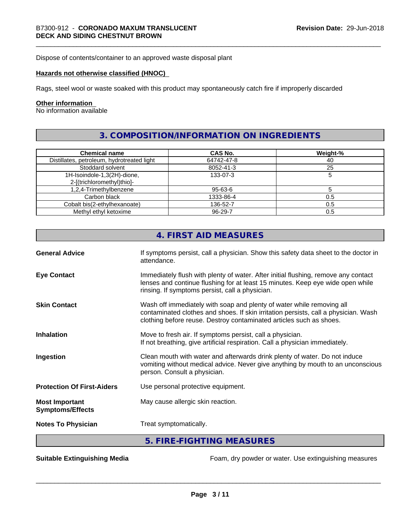Dispose of contents/container to an approved waste disposal plant

#### **Hazards not otherwise classified (HNOC)**

Rags, steel wool or waste soaked with this product may spontaneously catch fire if improperly discarded

#### **Other information**

No information available

# **3. COMPOSITION/INFORMATION ON INGREDIENTS**

| <b>Chemical name</b>                                      | <b>CAS No.</b> | Weight-% |
|-----------------------------------------------------------|----------------|----------|
| Distillates, petroleum, hydrotreated light                | 64742-47-8     | 40       |
| Stoddard solvent                                          | 8052-41-3      | 25       |
| 1H-Isoindole-1,3(2H)-dione,<br>2-[(trichloromethyl)thio]- | 133-07-3       |          |
| 1,2,4-Trimethylbenzene                                    | 95-63-6        |          |
| Carbon black                                              | 1333-86-4      | 0.5      |
| Cobalt bis(2-ethylhexanoate)                              | 136-52-7       | 0.5      |
| Methyl ethyl ketoxime                                     | 96-29-7        | 0.5      |

|                                                  | 4. FIRST AID MEASURES                                                                                                                                                                                                               |
|--------------------------------------------------|-------------------------------------------------------------------------------------------------------------------------------------------------------------------------------------------------------------------------------------|
| <b>General Advice</b>                            | If symptoms persist, call a physician. Show this safety data sheet to the doctor in<br>attendance.                                                                                                                                  |
| <b>Eye Contact</b>                               | Immediately flush with plenty of water. After initial flushing, remove any contact<br>lenses and continue flushing for at least 15 minutes. Keep eye wide open while<br>rinsing. If symptoms persist, call a physician.             |
| <b>Skin Contact</b>                              | Wash off immediately with soap and plenty of water while removing all<br>contaminated clothes and shoes. If skin irritation persists, call a physician. Wash<br>clothing before reuse. Destroy contaminated articles such as shoes. |
| <b>Inhalation</b>                                | Move to fresh air. If symptoms persist, call a physician.<br>If not breathing, give artificial respiration. Call a physician immediately.                                                                                           |
| Ingestion                                        | Clean mouth with water and afterwards drink plenty of water. Do not induce<br>vomiting without medical advice. Never give anything by mouth to an unconscious<br>person. Consult a physician.                                       |
| <b>Protection Of First-Aiders</b>                | Use personal protective equipment.                                                                                                                                                                                                  |
| <b>Most Important</b><br><b>Symptoms/Effects</b> | May cause allergic skin reaction.                                                                                                                                                                                                   |
| <b>Notes To Physician</b>                        | Treat symptomatically.                                                                                                                                                                                                              |
|                                                  | 5. FIRE-FIGHTING MEASURES                                                                                                                                                                                                           |

**Suitable Extinguishing Media** Foam, dry powder or water. Use extinguishing measures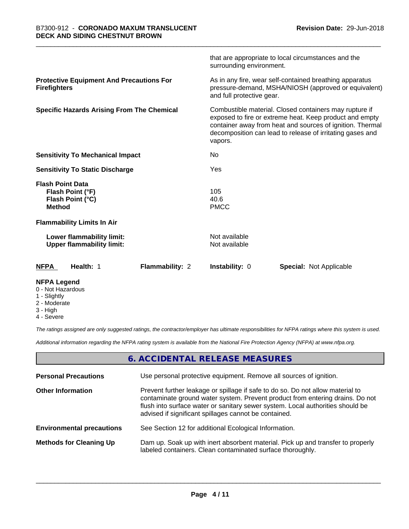| <b>NFPA Legend</b>                                                               |                 |                                |                                                                                                                                                                                                                                             |
|----------------------------------------------------------------------------------|-----------------|--------------------------------|---------------------------------------------------------------------------------------------------------------------------------------------------------------------------------------------------------------------------------------------|
| Health: 1<br><b>NFPA</b>                                                         | Flammability: 2 | Instability: 0                 | <b>Special: Not Applicable</b>                                                                                                                                                                                                              |
| Lower flammability limit:<br><b>Upper flammability limit:</b>                    |                 | Not available<br>Not available |                                                                                                                                                                                                                                             |
| <b>Flammability Limits In Air</b>                                                |                 |                                |                                                                                                                                                                                                                                             |
| <b>Flash Point Data</b><br>Flash Point (°F)<br>Flash Point (°C)<br><b>Method</b> |                 | 105<br>40.6<br><b>PMCC</b>     |                                                                                                                                                                                                                                             |
| <b>Sensitivity To Static Discharge</b>                                           |                 | Yes                            |                                                                                                                                                                                                                                             |
| <b>Sensitivity To Mechanical Impact</b>                                          |                 | No.                            |                                                                                                                                                                                                                                             |
| <b>Specific Hazards Arising From The Chemical</b>                                |                 | vapors.                        | Combustible material. Closed containers may rupture if<br>exposed to fire or extreme heat. Keep product and empty<br>container away from heat and sources of ignition. Thermal<br>decomposition can lead to release of irritating gases and |
| <b>Protective Equipment And Precautions For</b><br><b>Firefighters</b>           |                 | and full protective gear.      | As in any fire, wear self-contained breathing apparatus<br>pressure-demand, MSHA/NIOSH (approved or equivalent)                                                                                                                             |
|                                                                                  |                 | surrounding environment.       | that are appropriate to local circumstances and the                                                                                                                                                                                         |

- 0 Not Hazardous
- 1 Slightly
- 2 Moderate
- 3 High
- 4 Severe

*The ratings assigned are only suggested ratings, the contractor/employer has ultimate responsibilities for NFPA ratings where this system is used.*

*Additional information regarding the NFPA rating system is available from the National Fire Protection Agency (NFPA) at www.nfpa.org.*

#### **6. ACCIDENTAL RELEASE MEASURES**

| <b>Personal Precautions</b>      | Use personal protective equipment. Remove all sources of ignition.                                                                                                                                                                                                                                         |
|----------------------------------|------------------------------------------------------------------------------------------------------------------------------------------------------------------------------------------------------------------------------------------------------------------------------------------------------------|
| <b>Other Information</b>         | Prevent further leakage or spillage if safe to do so. Do not allow material to<br>contaminate ground water system. Prevent product from entering drains. Do not<br>flush into surface water or sanitary sewer system. Local authorities should be<br>advised if significant spillages cannot be contained. |
| <b>Environmental precautions</b> | See Section 12 for additional Ecological Information.                                                                                                                                                                                                                                                      |
| <b>Methods for Cleaning Up</b>   | Dam up. Soak up with inert absorbent material. Pick up and transfer to properly<br>labeled containers. Clean contaminated surface thoroughly.                                                                                                                                                              |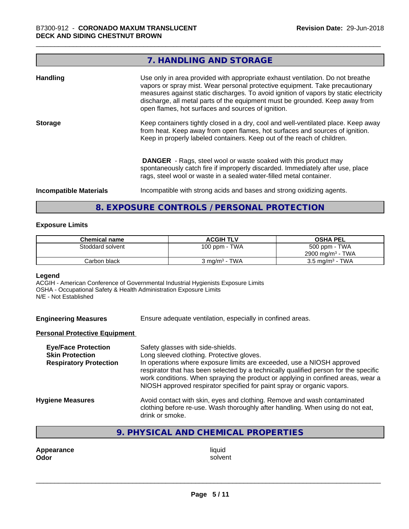# **7. HANDLING AND STORAGE Handling** Use only in area provided with appropriate exhaust ventilation. Do not breathe vapors or spray mist. Wear personal protective equipment. Take precautionary measures against static discharges. To avoid ignition of vapors by static electricity discharge, all metal parts of the equipment must be grounded. Keep away from open flames, hot surfaces and sources of ignition. **Storage** Keep containers tightly closed in a dry, cool and well-ventilated place. Keep away from heat. Keep away from open flames, hot surfaces and sources of ignition. Keep in properly labeled containers. Keep out of the reach of children.  **DANGER** - Rags, steel wool or waste soaked with this product may spontaneously catch fire if improperly discarded. Immediately after use, place rags, steel wool or waste in a sealed water-filled metal container. **Incompatible Materials Incompatible with strong acids and bases and strong oxidizing agents.**

# **8. EXPOSURE CONTROLS / PERSONAL PROTECTION**

#### **Exposure Limits**

| <b>Chemical name</b> | <b>ACGIH TLV</b>         | <b>OSHA PEL</b>              |
|----------------------|--------------------------|------------------------------|
| Stoddard solvent     | 100 ppm - TWA            | 500 ppm - TWA                |
|                      |                          | 2900 mg/m <sup>3</sup> - TWA |
| Carbon black         | $3 \text{ ma/m}^3$ - TWA | $3.5 \text{ mg/m}^3$ - TWA   |

#### **Legend**

ACGIH - American Conference of Governmental Industrial Hygienists Exposure Limits OSHA - Occupational Safety & Health Administration Exposure Limits N/E - Not Established

| <b>Engineering Measures</b> | Ensure adequate ventilation, especially in confined areas. |
|-----------------------------|------------------------------------------------------------|
|                             |                                                            |

#### **Personal Protective Equipment**

| <b>Eye/Face Protection</b><br><b>Skin Protection</b><br><b>Respiratory Protection</b> | Safety glasses with side-shields.<br>Long sleeved clothing. Protective gloves.<br>In operations where exposure limits are exceeded, use a NIOSH approved<br>respirator that has been selected by a technically qualified person for the specific<br>work conditions. When spraying the product or applying in confined areas, wear a<br>NIOSH approved respirator specified for paint spray or organic vapors. |
|---------------------------------------------------------------------------------------|----------------------------------------------------------------------------------------------------------------------------------------------------------------------------------------------------------------------------------------------------------------------------------------------------------------------------------------------------------------------------------------------------------------|
| <b>Hygiene Measures</b>                                                               | Avoid contact with skin, eyes and clothing. Remove and wash contaminated<br>clothing before re-use. Wash thoroughly after handling. When using do not eat,<br>drink or smoke.                                                                                                                                                                                                                                  |

## **9. PHYSICAL AND CHEMICAL PROPERTIES**

**Appearance** liquid **Odor** solvent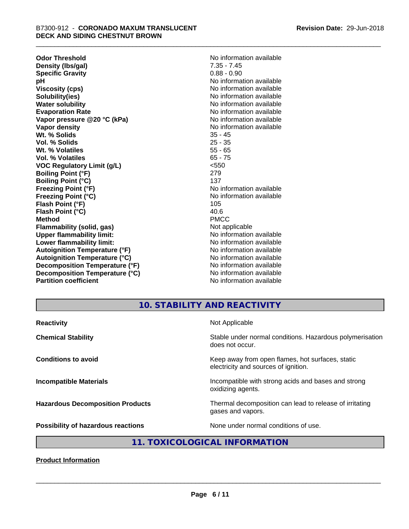**Odor Threshold**<br> **Density (Ibs/gal)**<br> **Density (Ibs/gal)**<br> **No information available**<br>
7.35 - 7.45 **Density (Ibs/gal)** 7.35 - 7.45<br> **Specific Gravity** 6.88 - 0.90 **Specific Gravity pH** No information available **Viscosity (cps)** No information available **Solubility(ies)** No information available in the solution of the solution of the solution available in the solution of the solution of the solution of the solution of the solution of the solution of the solution of the so **Water solubility** No information available **Evaporation Rate No information available No information available Vapor pressure @20 °C (kPa)** No information available **Vapor density No information available No information available Wt. % Solids** 35 - 45<br> **Vol. % Solids** 25 - 35 **Vol. % Solids Wt. % Volatiles** 55 - 65<br> **Vol. % Volatiles** 65 - 75 **Vol. % Volatiles VOC Regulatory Limit (g/L)** <550 **Boiling Point (°F)** 279 **Boiling Point (°C)** 137 **Freezing Point (°F)** The state of the state of the Noinformation available **Freezing Point (°C)** No information available **Flash Point (°F)** 105 **Flash Point (°C)** 40.6 **Method** PMCC **Flammability (solid, gas)** Not applicable **Upper flammability limit:**<br> **Lower flammability limit:** No information available **Lower flammability limit:**<br> **Autoignition Temperature (°F)** No information available<br>
No information available **Autoignition Temperature (°F) Autoignition Temperature (°C)** No information available **Decomposition Temperature (°F)** No information available **Decomposition Temperature (°C)** No information available **Partition coefficient** and the settlement of the Non-Information available

# **10. STABILITY AND REACTIVITY**

| <b>Reactivity</b>                       | Not Applicable                                                                           |
|-----------------------------------------|------------------------------------------------------------------------------------------|
| <b>Chemical Stability</b>               | Stable under normal conditions. Hazardous polymerisation<br>does not occur.              |
| <b>Conditions to avoid</b>              | Keep away from open flames, hot surfaces, static<br>electricity and sources of ignition. |
| <b>Incompatible Materials</b>           | Incompatible with strong acids and bases and strong<br>oxidizing agents.                 |
| <b>Hazardous Decomposition Products</b> | Thermal decomposition can lead to release of irritating<br>gases and vapors.             |
| Possibility of hazardous reactions      | None under normal conditions of use.                                                     |

# **11. TOXICOLOGICAL INFORMATION**

**Product Information**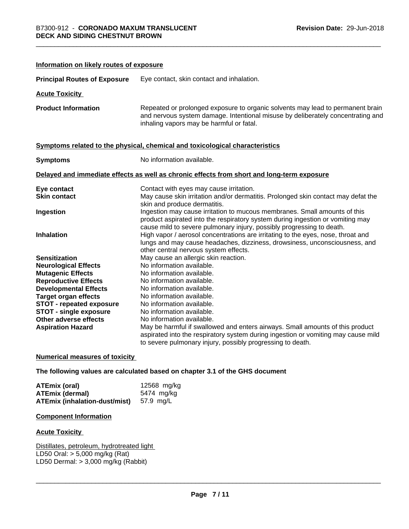**Information on likely routes of exposure**

| <b>Principal Routes of Exposure</b> | Eye contact, skin contact and inhalation.                                                                                                                                                                                            |
|-------------------------------------|--------------------------------------------------------------------------------------------------------------------------------------------------------------------------------------------------------------------------------------|
| <b>Acute Toxicity</b>               |                                                                                                                                                                                                                                      |
| <b>Product Information</b>          | Repeated or prolonged exposure to organic solvents may lead to permanent brain<br>and nervous system damage. Intentional misuse by deliberately concentrating and<br>inhaling vapors may be harmful or fatal.                        |
|                                     | Symptoms related to the physical, chemical and toxicological characteristics                                                                                                                                                         |
| <b>Symptoms</b>                     | No information available.                                                                                                                                                                                                            |
|                                     | Delayed and immediate effects as well as chronic effects from short and long-term exposure                                                                                                                                           |
| Eye contact<br><b>Skin contact</b>  | Contact with eyes may cause irritation.<br>May cause skin irritation and/or dermatitis. Prolonged skin contact may defat the<br>skin and produce dermatitis.                                                                         |
| Ingestion                           | Ingestion may cause irritation to mucous membranes. Small amounts of this<br>product aspirated into the respiratory system during ingestion or vomiting may<br>cause mild to severe pulmonary injury, possibly progressing to death. |
| Inhalation                          | High vapor / aerosol concentrations are irritating to the eyes, nose, throat and<br>lungs and may cause headaches, dizziness, drowsiness, unconsciousness, and<br>other central nervous system effects.                              |
| <b>Sensitization</b>                | May cause an allergic skin reaction.                                                                                                                                                                                                 |
| <b>Neurological Effects</b>         | No information available.                                                                                                                                                                                                            |
| <b>Mutagenic Effects</b>            | No information available.                                                                                                                                                                                                            |
| <b>Reproductive Effects</b>         | No information available.                                                                                                                                                                                                            |
| <b>Developmental Effects</b>        | No information available.                                                                                                                                                                                                            |
| <b>Target organ effects</b>         | No information available.                                                                                                                                                                                                            |
| <b>STOT - repeated exposure</b>     | No information available.                                                                                                                                                                                                            |
| <b>STOT - single exposure</b>       | No information available.                                                                                                                                                                                                            |
| Other adverse effects               | No information available.                                                                                                                                                                                                            |
| <b>Aspiration Hazard</b>            | May be harmful if swallowed and enters airways. Small amounts of this product<br>aspirated into the respiratory system during ingestion or vomiting may cause mild<br>to severe pulmonary injury, possibly progressing to death.     |

**Numerical measures of toxicity**

**The following values are calculated based on chapter 3.1 of the GHS document**

| <b>ATEmix (oral)</b>                           | 12568 mg/kg |
|------------------------------------------------|-------------|
| <b>ATEmix (dermal)</b>                         | 5474 mg/ka  |
| <b>ATEmix (inhalation-dust/mist)</b> 57.9 mg/L |             |

#### **Component Information**

#### **Acute Toxicity**

Distillates, petroleum, hydrotreated light LD50 Oral: > 5,000 mg/kg (Rat) LD50 Dermal: > 3,000 mg/kg (Rabbit)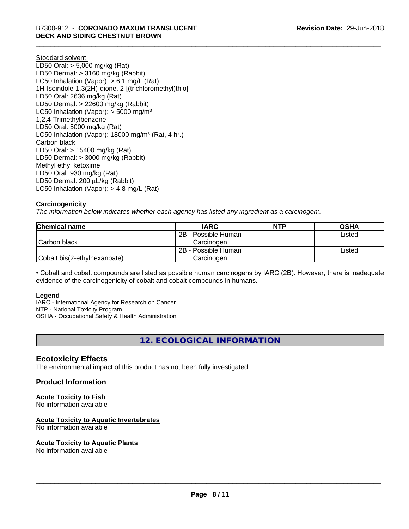Stoddard solvent LD50 Oral: > 5,000 mg/kg (Rat) LD50 Dermal: > 3160 mg/kg (Rabbit) LC50 Inhalation (Vapor): > 6.1 mg/L (Rat) 1H-Isoindole-1,3(2H)-dione, 2-[(trichloromethyl)thio]- LD50 Oral: 2636 mg/kg (Rat) LD50 Dermal: > 22600 mg/kg (Rabbit) LC50 Inhalation (Vapor):  $>$  5000 mg/m<sup>3</sup> 1,2,4-Trimethylbenzene LD50 Oral: 5000 mg/kg (Rat) LC50 Inhalation (Vapor): 18000 mg/m<sup>3</sup> (Rat, 4 hr.) Carbon black LD50 Oral: > 15400 mg/kg (Rat) LD50 Dermal: > 3000 mg/kg (Rabbit) Methyl ethyl ketoxime LD50 Oral: 930 mg/kg (Rat) LD50 Dermal: 200 µL/kg (Rabbit) LC50 Inhalation (Vapor): > 4.8 mg/L (Rat)

## **Carcinogenicity**

*The information below indicateswhether each agency has listed any ingredient as a carcinogen:.*

| Chemical name                | <b>IARC</b>         | <b>NTP</b> | <b>OSHA</b> |
|------------------------------|---------------------|------------|-------------|
|                              | 2B - Possible Human |            | Listed      |
| Carbon black                 | Carcinoɑen          |            |             |
|                              | 2B - Possible Human |            | Listed      |
| Cobalt bis(2-ethylhexanoate) | Carcinogen          |            |             |

• Cobalt and cobalt compounds are listed as possible human carcinogens by IARC (2B). However, there is inadequate evidence of the carcinogenicity of cobalt and cobalt compounds in humans.

#### **Legend**

IARC - International Agency for Research on Cancer NTP - National Toxicity Program OSHA - Occupational Safety & Health Administration

**12. ECOLOGICAL INFORMATION**

## **Ecotoxicity Effects**

The environmental impact of this product has not been fully investigated.

#### **Product Information**

#### **Acute Toxicity to Fish**

No information available

#### **Acute Toxicity to Aquatic Invertebrates**

No information available

#### **Acute Toxicity to Aquatic Plants**

No information available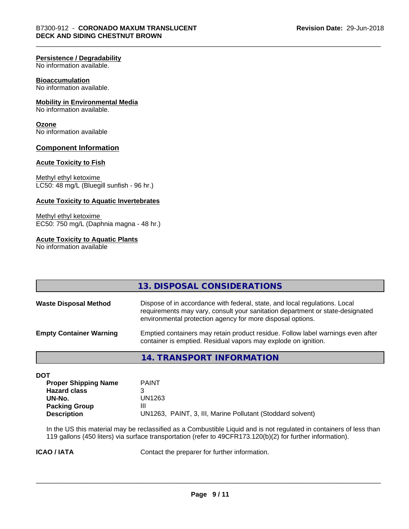#### **Persistence / Degradability**

No information available.

#### **Bioaccumulation**

No information available.

#### **Mobility in Environmental Media**

No information available.

#### **Ozone**

No information available

#### **Component Information**

#### **Acute Toxicity to Fish**

Methyl ethyl ketoxime LC50: 48 mg/L (Bluegill sunfish - 96 hr.)

#### **Acute Toxicity to Aquatic Invertebrates**

Methyl ethyl ketoxime EC50: 750 mg/L (Daphnia magna - 48 hr.)

#### **Acute Toxicity to Aquatic Plants**

No information available

|                                | 13. DISPOSAL CONSIDERATIONS                                                                                                                                                                                               |
|--------------------------------|---------------------------------------------------------------------------------------------------------------------------------------------------------------------------------------------------------------------------|
| <b>Waste Disposal Method</b>   | Dispose of in accordance with federal, state, and local regulations. Local<br>requirements may vary, consult your sanitation department or state-designated<br>environmental protection agency for more disposal options. |
| <b>Empty Container Warning</b> | Emptied containers may retain product residue. Follow label warnings even after<br>container is emptied. Residual vapors may explode on ignition.                                                                         |
|                                | 14. TRANSPORT INFORMATION                                                                                                                                                                                                 |

| ×<br>۰.<br>۰. | -- |
|---------------|----|
|               |    |

| <b>PAINT</b>                                               |
|------------------------------------------------------------|
|                                                            |
| UN1263                                                     |
| Ш                                                          |
| UN1263, PAINT, 3, III, Marine Pollutant (Stoddard solvent) |
|                                                            |

In the US this material may be reclassified as a Combustible Liquid and is not regulated in containers of less than 119 gallons (450 liters) via surface transportation (refer to 49CFR173.120(b)(2) for further information).

**ICAO / IATA** Contact the preparer for further information.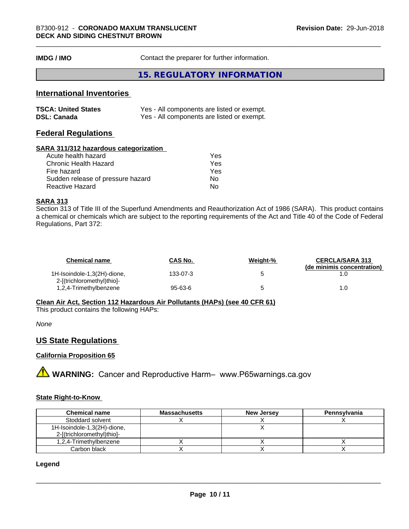**IMDG / IMO** Contact the preparer for further information.

#### **15. REGULATORY INFORMATION**

# **International Inventories**

| <b>TSCA: United States</b> | Yes - All components are listed or exempt. |
|----------------------------|--------------------------------------------|
| <b>DSL: Canada</b>         | Yes - All components are listed or exempt. |

#### **Federal Regulations**

#### **SARA 311/312 hazardous categorization**

| Yes |
|-----|
| Yes |
| Yes |
| Nο  |
| N٥  |
|     |

## **SARA 313**

Section 313 of Title III of the Superfund Amendments and Reauthorization Act of 1986 (SARA). This product contains a chemical or chemicals which are subject to the reporting requirements of the Act and Title 40 of the Code of Federal Regulations, Part 372:

| <b>Chemical name</b>                                      | <b>CAS No.</b> | Weight-% | <b>CERCLA/SARA 313</b><br>(de minimis concentration) |
|-----------------------------------------------------------|----------------|----------|------------------------------------------------------|
| 1H-Isoindole-1,3(2H)-dione,<br>2-[(trichloromethyl)thio]- | 133-07-3       |          |                                                      |
| 1,2,4-Trimethylbenzene                                    | $95 - 63 - 6$  |          | 1.0                                                  |

**Clean Air Act,Section 112 Hazardous Air Pollutants (HAPs) (see 40 CFR 61)**

This product contains the following HAPs:

*None*

#### **US State Regulations**

#### **California Proposition 65**

**AN** WARNING: Cancer and Reproductive Harm– www.P65warnings.ca.gov

#### **State Right-to-Know**

| <b>Chemical name</b>                                      | <b>Massachusetts</b> | <b>New Jersey</b> | Pennsylvania |
|-----------------------------------------------------------|----------------------|-------------------|--------------|
| Stoddard solvent                                          |                      |                   |              |
| 1H-Isoindole-1,3(2H)-dione,<br>2-[(trichloromethyl)thio]- |                      |                   |              |
| 1,2,4-Trimethylbenzene                                    |                      |                   |              |
| Carbon black                                              |                      |                   |              |

#### **Legend**